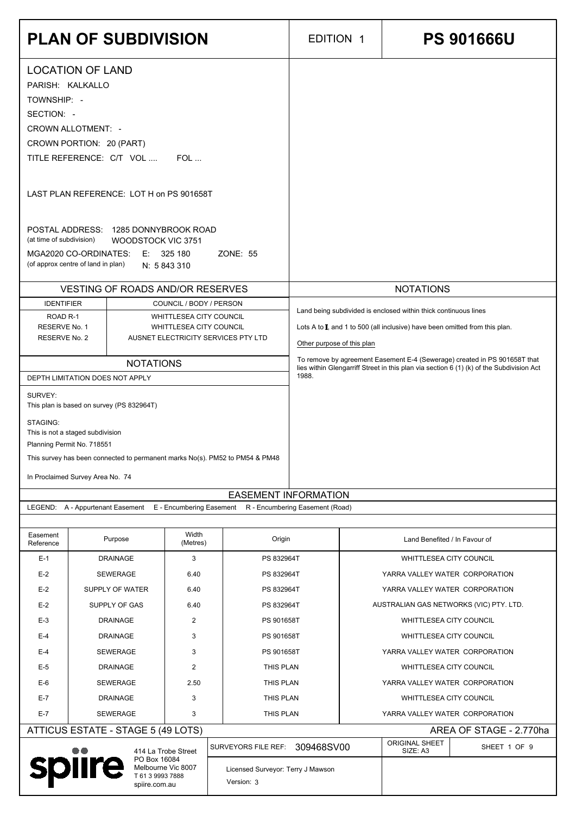|                                                                                         |                                          | <b>PLAN OF SUBDIVISION</b>                                                                     |                                                    |                                                                                           | <b>EDITION 1</b>           | <b>PS 901666U</b>                                                                                                                                                     |
|-----------------------------------------------------------------------------------------|------------------------------------------|------------------------------------------------------------------------------------------------|----------------------------------------------------|-------------------------------------------------------------------------------------------|----------------------------|-----------------------------------------------------------------------------------------------------------------------------------------------------------------------|
| <b>LOCATION OF LAND</b><br>PARISH: KALKALLO                                             |                                          |                                                                                                |                                                    |                                                                                           |                            |                                                                                                                                                                       |
| TOWNSHIP: -<br>SECTION: -                                                               |                                          |                                                                                                |                                                    |                                                                                           |                            |                                                                                                                                                                       |
| <b>CROWN ALLOTMENT: -</b>                                                               |                                          |                                                                                                |                                                    |                                                                                           |                            |                                                                                                                                                                       |
| CROWN PORTION: 20 (PART)                                                                |                                          | TITLE REFERENCE: C/T VOL                                                                       | FOL                                                |                                                                                           |                            |                                                                                                                                                                       |
|                                                                                         | LAST PLAN REFERENCE: LOT H on PS 901658T |                                                                                                |                                                    |                                                                                           |                            |                                                                                                                                                                       |
| (at time of subdivision)<br>MGA2020 CO-ORDINATES:<br>(of approx centre of land in plan) |                                          | POSTAL ADDRESS: 1285 DONNYBROOK ROAD<br><b>WOODSTOCK VIC 3751</b>                              | E: 325180<br>N: 5 843 310                          | <b>ZONE: 55</b>                                                                           |                            |                                                                                                                                                                       |
|                                                                                         |                                          | <b>VESTING OF ROADS AND/OR RESERVES</b>                                                        |                                                    |                                                                                           |                            | <b>NOTATIONS</b>                                                                                                                                                      |
| <b>IDENTIFIER</b><br>ROAD <sub>R-1</sub>                                                |                                          |                                                                                                | COUNCIL / BODY / PERSON<br>WHITTLESEA CITY COUNCIL |                                                                                           |                            | Land being subdivided is enclosed within thick continuous lines                                                                                                       |
| RESERVE No. 1<br>RESERVE No. 2                                                          |                                          |                                                                                                | <b>WHITTLESEA CITY COUNCIL</b>                     | AUSNET ELECTRICITY SERVICES PTY LTD                                                       | Other purpose of this plan | Lots A to I, and 1 to 500 (all inclusive) have been omitted from this plan.                                                                                           |
|                                                                                         |                                          | <b>NOTATIONS</b><br>DEPTH LIMITATION DOES NOT APPLY                                            |                                                    |                                                                                           | 1988.                      | To remove by agreement Easement E-4 (Sewerage) created in PS 901658T that<br>lies within Glengarriff Street in this plan via section 6 (1) (k) of the Subdivision Act |
| SURVEY:                                                                                 |                                          | This plan is based on survey (PS 832964T)                                                      |                                                    |                                                                                           |                            |                                                                                                                                                                       |
| STAGING:<br>This is not a staged subdivision<br>Planning Permit No. 718551              |                                          |                                                                                                |                                                    |                                                                                           |                            |                                                                                                                                                                       |
| In Proclaimed Survey Area No. 74                                                        |                                          |                                                                                                |                                                    | This survey has been connected to permanent marks No(s). PM52 to PM54 & PM48              |                            |                                                                                                                                                                       |
|                                                                                         |                                          |                                                                                                |                                                    | <b>EASEMENT INFORMATION</b>                                                               |                            |                                                                                                                                                                       |
|                                                                                         |                                          |                                                                                                |                                                    | LEGEND: A - Appurtenant Easement E - Encumbering Easement R - Encumbering Easement (Road) |                            |                                                                                                                                                                       |
| Easement<br>Reference                                                                   |                                          | Purpose                                                                                        | Width<br>(Metres)                                  | Origin                                                                                    |                            | Land Benefited / In Favour of                                                                                                                                         |
| $E-1$<br>$E-2$                                                                          |                                          | <b>DRAINAGE</b><br>SEWERAGE                                                                    | 3<br>6.40                                          | PS 832964T<br>PS 832964T                                                                  |                            | WHITTLESEA CITY COUNCIL<br>YARRA VALLEY WATER CORPORATION                                                                                                             |
| $E-2$                                                                                   |                                          | SUPPLY OF WATER                                                                                | 6.40                                               | PS 832964T                                                                                |                            | YARRA VALLEY WATER CORPORATION                                                                                                                                        |
| $E-2$                                                                                   |                                          | SUPPLY OF GAS                                                                                  | 6.40                                               | PS 832964T                                                                                |                            | AUSTRALIAN GAS NETWORKS (VIC) PTY. LTD.                                                                                                                               |
| $E-3$                                                                                   |                                          | <b>DRAINAGE</b>                                                                                | $\overline{2}$                                     | PS 901658T                                                                                |                            | WHITTLESEA CITY COUNCIL                                                                                                                                               |
| $E-4$<br>$E-4$                                                                          |                                          | <b>DRAINAGE</b><br><b>SEWERAGE</b>                                                             | 3<br>3                                             | PS 901658T<br>PS 901658T                                                                  |                            | <b>WHITTLESEA CITY COUNCIL</b><br>YARRA VALLEY WATER CORPORATION                                                                                                      |
| $E-5$                                                                                   |                                          | <b>DRAINAGE</b>                                                                                | $\overline{2}$                                     | THIS PLAN                                                                                 |                            | WHITTLESEA CITY COUNCIL                                                                                                                                               |
| $E-6$                                                                                   |                                          | <b>SEWERAGE</b>                                                                                | 2.50                                               | THIS PLAN                                                                                 |                            | YARRA VALLEY WATER CORPORATION                                                                                                                                        |
| $E-7$                                                                                   |                                          | <b>DRAINAGE</b>                                                                                | 3                                                  | THIS PLAN                                                                                 |                            | WHITTLESEA CITY COUNCIL                                                                                                                                               |
| $E-7$                                                                                   |                                          | <b>SEWERAGE</b>                                                                                | 3                                                  | THIS PLAN                                                                                 |                            | YARRA VALLEY WATER CORPORATION                                                                                                                                        |
|                                                                                         |                                          | ATTICUS ESTATE - STAGE 5 (49 LOTS)                                                             |                                                    |                                                                                           |                            | AREA OF STAGE - 2.770ha<br><b>ORIGINAL SHEET</b>                                                                                                                      |
| <b>spiire</b>                                                                           |                                          | 414 La Trobe Street<br>PO Box 16084<br>Melbourne Vic 8007<br>T 61 3 9993 7888<br>spiire.com.au |                                                    | <b>SURVEYORS FILE REF:</b><br>Licensed Surveyor: Terry J Mawson<br>Version: 3             | 309468SV00                 | SHEET 1 OF 9<br>SIZE: A3                                                                                                                                              |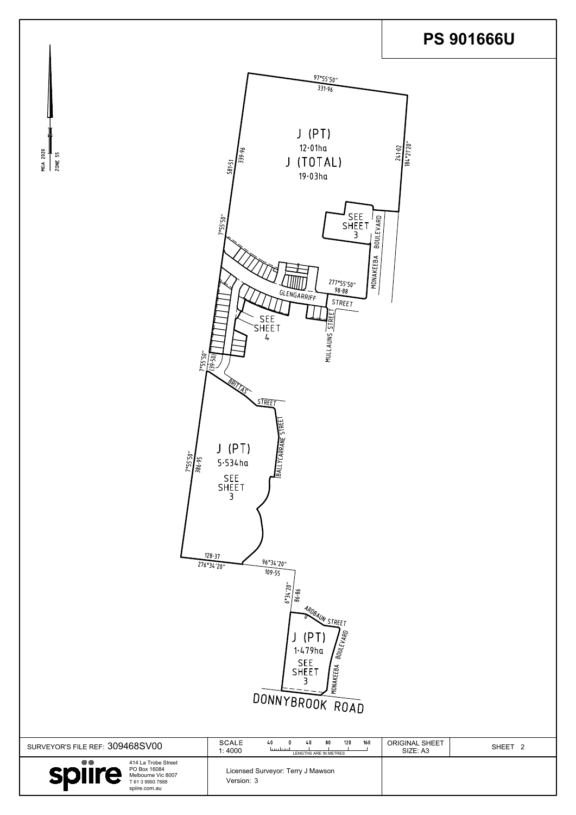

| SURVEYOR'S FILE REF: 309468SV00                                                                                 | <b>SCALE</b><br>160<br>120<br>80<br>40<br>40<br>ليستلبسنا<br>1:4000<br>LENGTHS ARE IN METRES | <b>ORIGINAL SHEET</b><br>SHEET <sub>2</sub><br>SIZE: A3 |
|-----------------------------------------------------------------------------------------------------------------|----------------------------------------------------------------------------------------------|---------------------------------------------------------|
| 414 La Trobe Street<br>PO Box 16084<br><b>Splire</b><br>Melbourne Vic 8007<br>T 61 3 9993 7888<br>spiire.com.au | Licensed Surveyor: Terry J Mawson<br>Version: 3                                              |                                                         |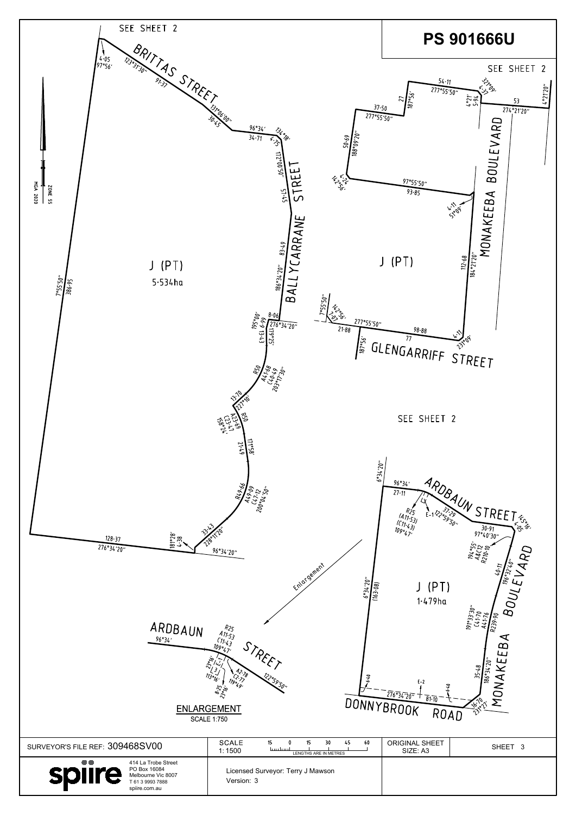| ARDBAUN<br>96°34'                                                                                                            | <b>R25</b><br>$A11.53$<br>$C11.43$<br>$109°47'$<br>STAFET<br>122°59'50'<br>' <sup>19</sup> °49'<br><b>ENLARGEMENT</b><br><b>SCALE 1:750</b> | R239.<br>igi<br>ᢦ<br>$\boldsymbol{\omega}$<br>ш<br>ш<br>$\overline{\mathcal{S}}$<br>$\mathfrak{s}_7$<br>$\approx$<br>န့်<br>⋖<br>$E-2$<br>NOW<br>$276$ <sup>2</sup> $34$ <sup>7</sup> $20$ <sup>77</sup> +<br>$\overline{81} \cdot \overline{10}$<br>DONNYBROOK<br>ROAD<br>∿ |
|------------------------------------------------------------------------------------------------------------------------------|---------------------------------------------------------------------------------------------------------------------------------------------|------------------------------------------------------------------------------------------------------------------------------------------------------------------------------------------------------------------------------------------------------------------------------|
| SURVEYOR'S FILE REF: 309468SV00                                                                                              | <b>SCALE</b><br>15<br>30<br>45<br>60<br>15<br>tuurtuu<br>1:1500<br>LENGTHS ARE IN METRES                                                    | <b>ORIGINAL SHEET</b><br>SHEET 3<br>SIZE: A3                                                                                                                                                                                                                                 |
| $\bullet\bullet$<br>414 La Trobe Street<br>PO Box 16084<br>spiire<br>Melbourne Vic 8007<br>T 61 3 9993 7888<br>spiire.com.au | Licensed Surveyor: Terry J Mawson<br>Version: 3                                                                                             |                                                                                                                                                                                                                                                                              |

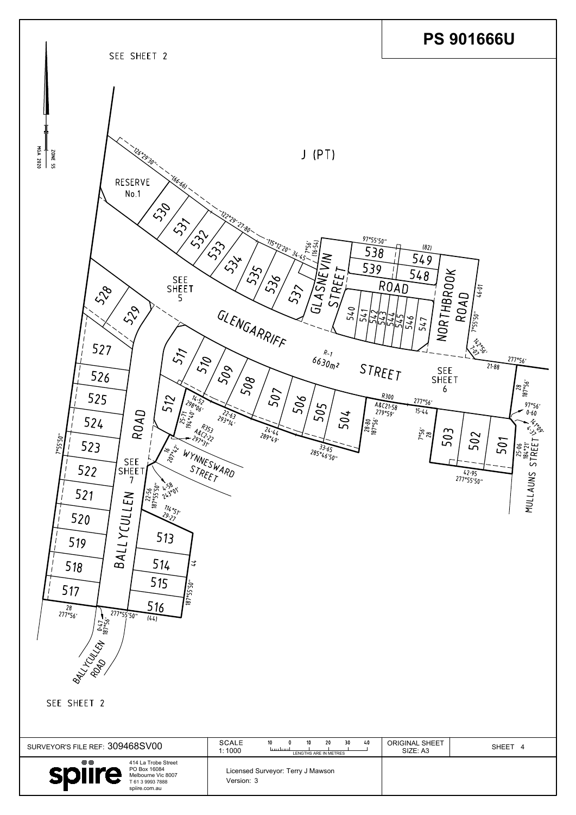| 515<br>$\sqrt{55.50}$<br>517<br>187<br>516<br>$\frac{28}{277°56}$<br>277°55'50"<br>(44)<br>$\frac{0.47}{187°56'}$<br><b>BALLICAN</b><br>SEE SHEET 2 |                                                                                                                       |                            |         |
|-----------------------------------------------------------------------------------------------------------------------------------------------------|-----------------------------------------------------------------------------------------------------------------------|----------------------------|---------|
| SURVEYOR'S FILE REF: 309468SV00                                                                                                                     | <b>SCALE</b><br>10 <sup>°</sup><br>10<br>20<br>30<br>40<br>$\Omega$<br>انتبيانيتنا<br>1:1000<br>LENGTHS ARE IN METRES | ORIGINAL SHEET<br>SIZE: A3 | SHEET 4 |
| $\bullet\bullet$<br>414 La Trobe Street<br>PO Box 16084<br>spiire<br>Melbourne Vic 8007<br>T 61 3 9993 7888<br>spiire.com.au                        | Licensed Surveyor: Terry J Mawson<br>Version: 3                                                                       |                            |         |

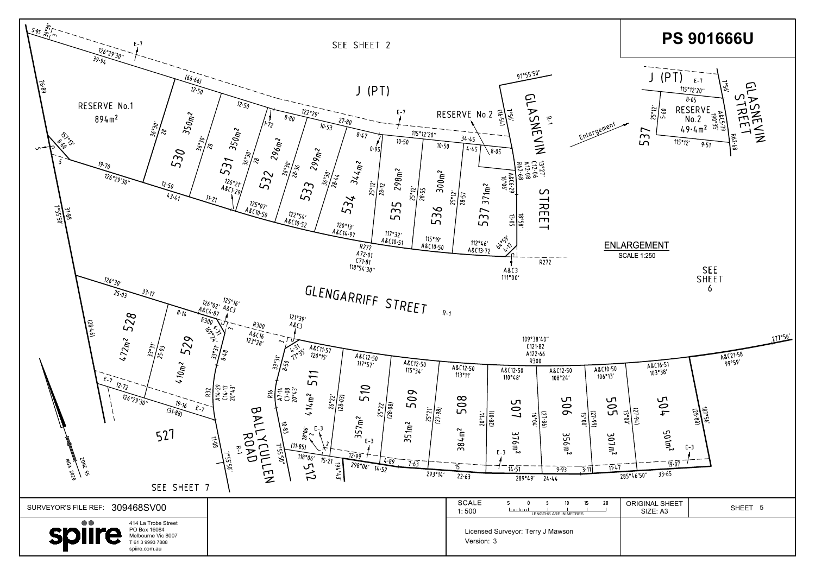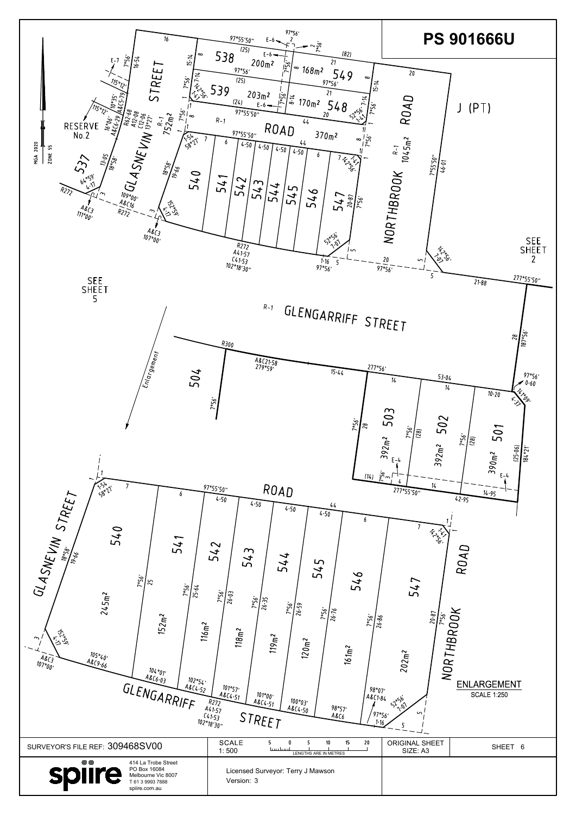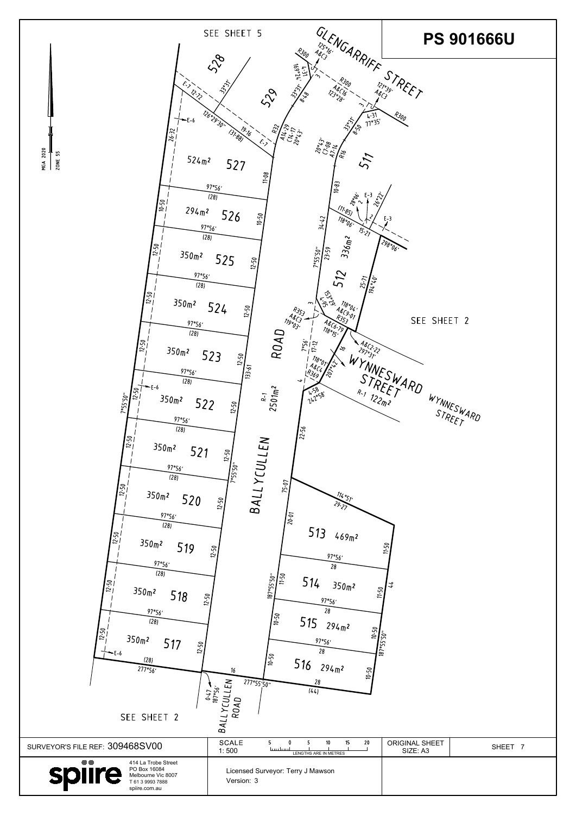| <b>140</b><br>$\frac{12.50}{2}$<br>$350m$ 2<br>518<br>$12 - 50$<br>97°56'<br>(28)<br>$\frac{5}{2}$<br>350 <sub>m</sub><br>517<br>12.50<br>(28)<br>277°56'<br>SEE SHEET 2 | $\frac{187°55'50''}{11\cdot 50''}$<br>514<br>$350m$ 2<br>97°56'<br>28<br>$\sqrt{\frac{2}{9}}$<br>515<br>294 m <sup>2</sup><br>10-50 10-50<br>97°56'<br>28<br>/ะู๊<br>516<br>$294$ m <sup>2</sup><br>$10 - 50$<br>16<br>28<br>277°55'50"<br>CULLEN<br>$0.47 - 187°56'$<br>(44)<br>ROAD<br>BALLY. | $\frac{1.50}{1.50}$               |         |
|--------------------------------------------------------------------------------------------------------------------------------------------------------------------------|-------------------------------------------------------------------------------------------------------------------------------------------------------------------------------------------------------------------------------------------------------------------------------------------------|-----------------------------------|---------|
| SURVEYOR'S FILE REF: 309468SV00                                                                                                                                          | <b>SCALE</b><br>15<br>10<br>20<br>5.<br>5<br>سيلبسا<br>1:500<br>LENGTHS ARE IN METRES                                                                                                                                                                                                           | <b>ORIGINAL SHEET</b><br>SIZE: A3 | SHEET 7 |
| $\bullet\bullet$<br>414 La Trobe Street<br>PO Box 16084<br><b>splire</b><br>Melbourne Vic 8007<br>T 61 3 9993 7888<br>spiire.com.au                                      | Licensed Surveyor: Terry J Mawson<br>Version: 3                                                                                                                                                                                                                                                 |                                   |         |

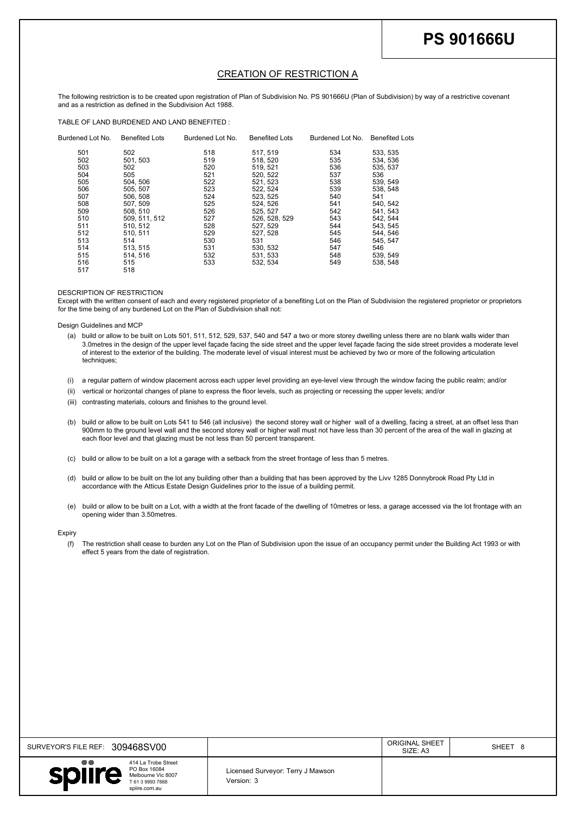| SURVEYOR'S FILE REF: 309468SV00                                                                                              |                                                 | <b>ORIGINAL SHEET</b><br>SIZE: A3 | SHEET 8 |
|------------------------------------------------------------------------------------------------------------------------------|-------------------------------------------------|-----------------------------------|---------|
| $\bullet\bullet$<br>414 La Trobe Street<br>PO Box 16084<br>spiire<br>Melbourne Vic 8007<br>T 61 3 9993 7888<br>spiire.com.au | Licensed Surveyor: Terry J Mawson<br>Version: 3 |                                   |         |

|                      |                           |                                                                                                             |                          |                                                                                                             |                          |                                                                                                                                                  | <b>PS 901666U</b>                                                                                                                                                                                                                                                                                             |
|----------------------|---------------------------|-------------------------------------------------------------------------------------------------------------|--------------------------|-------------------------------------------------------------------------------------------------------------|--------------------------|--------------------------------------------------------------------------------------------------------------------------------------------------|---------------------------------------------------------------------------------------------------------------------------------------------------------------------------------------------------------------------------------------------------------------------------------------------------------------|
|                      |                           |                                                                                                             |                          | <b>CREATION OF RESTRICTION A</b>                                                                            |                          |                                                                                                                                                  |                                                                                                                                                                                                                                                                                                               |
|                      |                           | and as a restriction as defined in the Subdivision Act 1988.<br>TABLE OF LAND BURDENED AND LAND BENEFITED : |                          |                                                                                                             |                          |                                                                                                                                                  | The following restriction is to be created upon registration of Plan of Subdivision No. PS 901666U (Plan of Subdivision) by way of a restrictive covenant                                                                                                                                                     |
|                      | Burdened Lot No.<br>501   | <b>Benefited Lots</b><br>502                                                                                | Burdened Lot No.<br>518  | <b>Benefited Lots</b><br>517, 519                                                                           | Burdened Lot No.<br>534  | <b>Benefited Lots</b><br>533, 535                                                                                                                |                                                                                                                                                                                                                                                                                                               |
|                      | 502<br>503<br>504         | 501, 503<br>502<br>505                                                                                      | 519<br>520<br>521        | 518, 520<br>519, 521<br>520, 522                                                                            | 535<br>536<br>537        | 534, 536<br>535, 537<br>536                                                                                                                      |                                                                                                                                                                                                                                                                                                               |
|                      | 505<br>506<br>507<br>508  | 504, 506<br>505, 507<br>506, 508<br>507, 509                                                                | 522<br>523<br>524<br>525 | 521, 523<br>522, 524<br>523, 525<br>524, 526                                                                | 538<br>539<br>540<br>541 | 539, 549<br>538, 548<br>541<br>540, 542                                                                                                          |                                                                                                                                                                                                                                                                                                               |
|                      | 509<br>510<br>511         | 508, 510<br>509, 511, 512<br>510, 512                                                                       | 526<br>527<br>528        | 525, 527<br>526, 528, 529<br>527, 529                                                                       | 542<br>543<br>544        | 541, 543<br>542, 544<br>543, 545                                                                                                                 |                                                                                                                                                                                                                                                                                                               |
|                      | 512<br>513<br>514<br>515  | 510, 511<br>514<br>513, 515<br>514, 516                                                                     | 529<br>530<br>531<br>532 | 527, 528<br>531<br>530, 532<br>531, 533                                                                     | 545<br>546<br>547<br>548 | 544, 546<br>545, 547<br>546<br>539, 549                                                                                                          |                                                                                                                                                                                                                                                                                                               |
|                      | 516<br>517                | 515<br>518                                                                                                  | 533                      | 532, 534                                                                                                    | 549                      | 538, 548                                                                                                                                         |                                                                                                                                                                                                                                                                                                               |
|                      |                           | DESCRIPTION OF RESTRICTION<br>for the time being of any burdened Lot on the Plan of Subdivision shall not:  |                          |                                                                                                             |                          |                                                                                                                                                  | Except with the written consent of each and every registered proprietor of a benefiting Lot on the Plan of Subdivision the registered proprietor or proprietors                                                                                                                                               |
|                      | Design Guidelines and MCP |                                                                                                             |                          |                                                                                                             |                          |                                                                                                                                                  | (a) build or allow to be built on Lots 501, 511, 512, 529, 537, 540 and 547 a two or more storey dwelling unless there are no blank walls wider than<br>3.0 metres in the design of the upper level façade facing the side street and the upper level façade facing the side street provides a moderate level |
|                      | techniques;               |                                                                                                             |                          |                                                                                                             |                          | of interest to the exterior of the building. The moderate level of visual interest must be achieved by two or more of the following articulation |                                                                                                                                                                                                                                                                                                               |
| (i)<br>(ii)<br>(iii) |                           | contrasting materials, colours and finishes to the ground level.                                            |                          |                                                                                                             |                          | vertical or horizontal changes of plane to express the floor levels, such as projecting or recessing the upper levels; and/or                    | a regular pattern of window placement across each upper level providing an eye-level view through the window facing the public realm; and/or                                                                                                                                                                  |
| (b)                  |                           |                                                                                                             |                          | each floor level and that glazing must be not less than 50 percent transparent.                             |                          |                                                                                                                                                  | 900mm to the ground level wall and the second storey wall or higher wall must not have less than 30 percent of the area of the wall in glazing at                                                                                                                                                             |
| (c)                  |                           |                                                                                                             |                          | build or allow to be built on a lot a garage with a setback from the street frontage of less than 5 metres. |                          |                                                                                                                                                  | build or allow to be built on Lots 541 to 546 (all inclusive) the second storey wall or higher wall of a dwelling, facing a street, at an offset less than                                                                                                                                                    |
| (d)                  |                           |                                                                                                             |                          | accordance with the Atticus Estate Design Guidelines prior to the issue of a building permit.               |                          | build or allow to be built on the lot any building other than a building that has been approved by the Livv 1285 Donnybrook Road Pty Ltd in      |                                                                                                                                                                                                                                                                                                               |
| (e)                  |                           | opening wider than 3.50metres.                                                                              |                          |                                                                                                             |                          |                                                                                                                                                  | build or allow to be built on a Lot, with a width at the front facade of the dwelling of 10metres or less, a garage accessed via the lot frontage with an                                                                                                                                                     |

- 
- 
- 
- 
- 
- 
- 
-